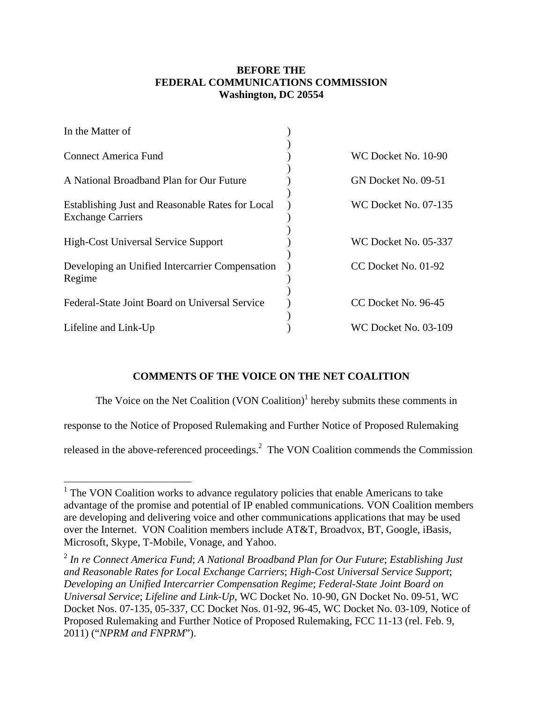## **BEFORE THE FEDERAL COMMUNICATIONS COMMISSION Washington, DC 20554**

| In the Matter of                                                             |                             |
|------------------------------------------------------------------------------|-----------------------------|
| <b>Connect America Fund</b>                                                  | WC Docket No. 10-90         |
| A National Broadband Plan for Our Future                                     | GN Docket No. 09-51         |
| Establishing Just and Reasonable Rates for Local<br><b>Exchange Carriers</b> | <b>WC Docket No. 07-135</b> |
| <b>High-Cost Universal Service Support</b>                                   | WC Docket No. 05-337        |
| Developing an Unified Intercarrier Compensation<br>Regime                    | CC Docket No. 01-92         |
| Federal-State Joint Board on Universal Service                               | CC Docket No. 96-45         |
| Lifeline and Link-Up                                                         | <b>WC Docket No. 03-109</b> |

## **COMMENTS OF THE VOICE ON THE NET COALITION**

The Voice on the Net Coalition  $(VON$  Coalition)<sup>1</sup> hereby submits these comments in

response to the Notice of Proposed Rulemaking and Further Notice of Proposed Rulemaking

released in the above-referenced proceedings.<sup>2</sup> The VON Coalition commends the Commission

<sup>&</sup>lt;sup>1</sup> The VON Coalition works to advance regulatory policies that enable Americans to take advantage of the promise and potential of IP enabled communications. VON Coalition members are developing and delivering voice and other communications applications that may be used over the Internet. VON Coalition members include AT&T, Broadvox, BT, Google, iBasis, Microsoft, Skype, T-Mobile, Vonage, and Yahoo.

<sup>2</sup> *In re Connect America Fund*; *A National Broadband Plan for Our Future*; *Establishing Just and Reasonable Rates for Local Exchange Carriers*; *High-Cost Universal Service Support*; *Developing an Unified Intercarrier Compensation Regime*; *Federal-State Joint Board on Universal Service*; *Lifeline and Link-Up*, WC Docket No. 10-90, GN Docket No. 09-51, WC Docket Nos. 07-135, 05-337, CC Docket Nos. 01-92, 96-45, WC Docket No. 03-109, Notice of Proposed Rulemaking and Further Notice of Proposed Rulemaking, FCC 11-13 (rel. Feb. 9, 2011) ("*NPRM and FNPRM*").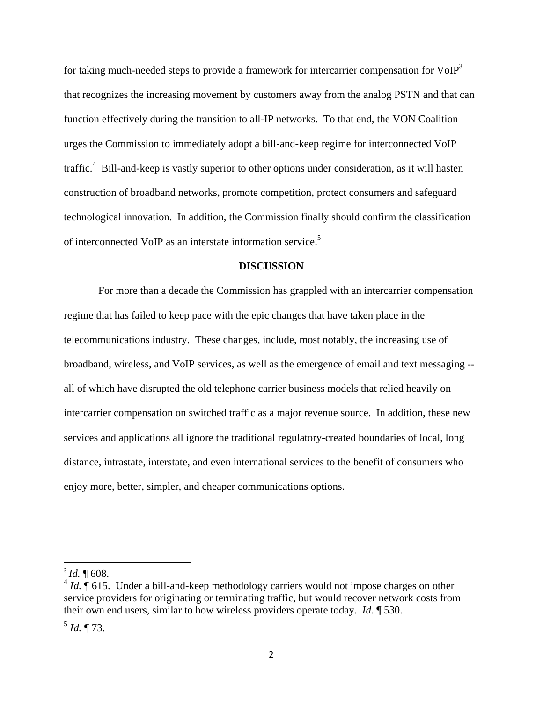for taking much-needed steps to provide a framework for intercarrier compensation for  $VoIP<sup>3</sup>$ that recognizes the increasing movement by customers away from the analog PSTN and that can function effectively during the transition to all-IP networks. To that end, the VON Coalition urges the Commission to immediately adopt a bill-and-keep regime for interconnected VoIP traffic.<sup>4</sup> Bill-and-keep is vastly superior to other options under consideration, as it will hasten construction of broadband networks, promote competition, protect consumers and safeguard technological innovation. In addition, the Commission finally should confirm the classification of interconnected VoIP as an interstate information service.<sup>5</sup>

## **DISCUSSION**

 For more than a decade the Commission has grappled with an intercarrier compensation regime that has failed to keep pace with the epic changes that have taken place in the telecommunications industry. These changes, include, most notably, the increasing use of broadband, wireless, and VoIP services, as well as the emergence of email and text messaging - all of which have disrupted the old telephone carrier business models that relied heavily on intercarrier compensation on switched traffic as a major revenue source. In addition, these new services and applications all ignore the traditional regulatory-created boundaries of local, long distance, intrastate, interstate, and even international services to the benefit of consumers who enjoy more, better, simpler, and cheaper communications options.

 $\overline{a}$ 

 $3$  *Id.*  $\P$  608.

 $4$  *Id.*  $\sqrt{ }$  615. Under a bill-and-keep methodology carriers would not impose charges on other service providers for originating or terminating traffic, but would recover network costs from their own end users, similar to how wireless providers operate today. *Id.* ¶ 530.

 $^5$  *Id.* ¶ 73.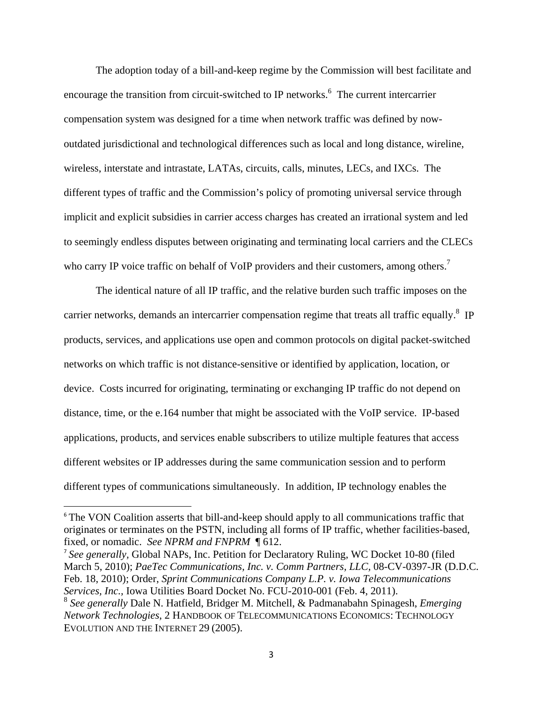The adoption today of a bill-and-keep regime by the Commission will best facilitate and encourage the transition from circuit-switched to IP networks.<sup>6</sup> The current intercarrier compensation system was designed for a time when network traffic was defined by nowoutdated jurisdictional and technological differences such as local and long distance, wireline, wireless, interstate and intrastate, LATAs, circuits, calls, minutes, LECs, and IXCs. The different types of traffic and the Commission's policy of promoting universal service through implicit and explicit subsidies in carrier access charges has created an irrational system and led to seemingly endless disputes between originating and terminating local carriers and the CLECs who carry IP voice traffic on behalf of VoIP providers and their customers, among others.<sup>7</sup>

 The identical nature of all IP traffic, and the relative burden such traffic imposes on the carrier networks, demands an intercarrier compensation regime that treats all traffic equally.<sup>8</sup> IP products, services, and applications use open and common protocols on digital packet-switched networks on which traffic is not distance-sensitive or identified by application, location, or device. Costs incurred for originating, terminating or exchanging IP traffic do not depend on distance, time, or the e.164 number that might be associated with the VoIP service. IP-based applications, products, and services enable subscribers to utilize multiple features that access different websites or IP addresses during the same communication session and to perform different types of communications simultaneously. In addition, IP technology enables the

<sup>&</sup>lt;sup>6</sup> The VON Coalition asserts that bill-and-keep should apply to all communications traffic that originates or terminates on the PSTN, including all forms of IP traffic, whether facilities-based, fixed, or nomadic. *See NPRM and FNPRM* ¶ 612.

<sup>7</sup> *See generally,* Global NAPs, Inc. Petition for Declaratory Ruling, WC Docket 10-80 (filed March 5, 2010); *PaeTec Communications, Inc. v. Comm Partners, LLC,* 08-CV-0397-JR (D.D.C. Feb. 18, 2010); Order, *Sprint Communications Company L.P. v. Iowa Telecommunications Services, Inc.,* Iowa Utilities Board Docket No. FCU-2010-001 (Feb. 4, 2011).

<sup>8</sup> *See generally* Dale N. Hatfield, Bridger M. Mitchell, & Padmanabahn Spinagesh, *Emerging Network Technologies*, 2 HANDBOOK OF TELECOMMUNICATIONS ECONOMICS: TECHNOLOGY EVOLUTION AND THE INTERNET 29 (2005).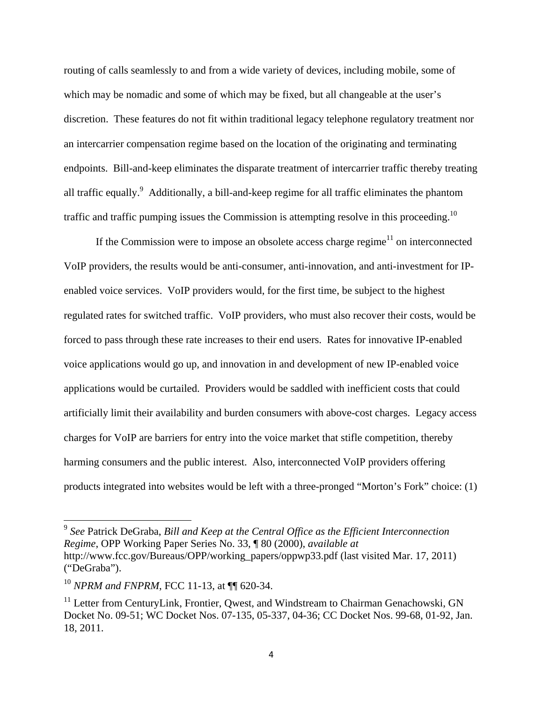routing of calls seamlessly to and from a wide variety of devices, including mobile, some of which may be nomadic and some of which may be fixed, but all changeable at the user's discretion. These features do not fit within traditional legacy telephone regulatory treatment nor an intercarrier compensation regime based on the location of the originating and terminating endpoints. Bill-and-keep eliminates the disparate treatment of intercarrier traffic thereby treating all traffic equally.<sup>9</sup> Additionally, a bill-and-keep regime for all traffic eliminates the phantom traffic and traffic pumping issues the Commission is attempting resolve in this proceeding.<sup>10</sup>

If the Commission were to impose an obsolete access charge regime<sup>11</sup> on interconnected VoIP providers, the results would be anti-consumer, anti-innovation, and anti-investment for IPenabled voice services. VoIP providers would, for the first time, be subject to the highest regulated rates for switched traffic. VoIP providers, who must also recover their costs, would be forced to pass through these rate increases to their end users. Rates for innovative IP-enabled voice applications would go up, and innovation in and development of new IP-enabled voice applications would be curtailed. Providers would be saddled with inefficient costs that could artificially limit their availability and burden consumers with above-cost charges. Legacy access charges for VoIP are barriers for entry into the voice market that stifle competition, thereby harming consumers and the public interest. Also, interconnected VoIP providers offering products integrated into websites would be left with a three-pronged "Morton's Fork" choice: (1)

<sup>9</sup> *See* Patrick DeGraba, *Bill and Keep at the Central Office as the Efficient Interconnection Regime*, OPP Working Paper Series No. 33, ¶ 80 (2000), *available at* http://www.fcc.gov/Bureaus/OPP/working\_papers/oppwp33.pdf (last visited Mar. 17, 2011) ("DeGraba").

<sup>10</sup> *NPRM and FNPRM*, FCC 11-13, at ¶¶ 620-34.

<sup>&</sup>lt;sup>11</sup> Letter from CenturyLink, Frontier, Qwest, and Windstream to Chairman Genachowski, GN Docket No. 09-51; WC Docket Nos. 07-135, 05-337, 04-36; CC Docket Nos. 99-68, 01-92, Jan. 18, 2011.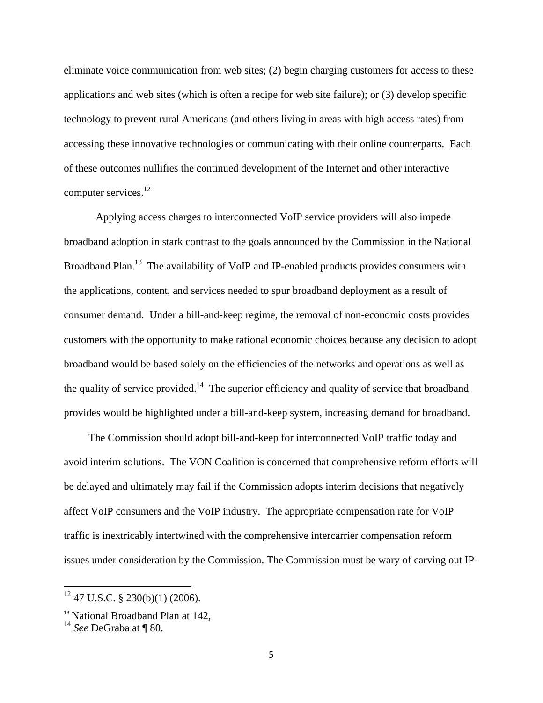eliminate voice communication from web sites; (2) begin charging customers for access to these applications and web sites (which is often a recipe for web site failure); or (3) develop specific technology to prevent rural Americans (and others living in areas with high access rates) from accessing these innovative technologies or communicating with their online counterparts. Each of these outcomes nullifies the continued development of the Internet and other interactive computer services.<sup>12</sup>

Applying access charges to interconnected VoIP service providers will also impede broadband adoption in stark contrast to the goals announced by the Commission in the National Broadband Plan.<sup>13</sup> The availability of VoIP and IP-enabled products provides consumers with the applications, content, and services needed to spur broadband deployment as a result of consumer demand. Under a bill-and-keep regime, the removal of non-economic costs provides customers with the opportunity to make rational economic choices because any decision to adopt broadband would be based solely on the efficiencies of the networks and operations as well as the quality of service provided.<sup>14</sup> The superior efficiency and quality of service that broadband provides would be highlighted under a bill-and-keep system, increasing demand for broadband.

 The Commission should adopt bill-and-keep for interconnected VoIP traffic today and avoid interim solutions. The VON Coalition is concerned that comprehensive reform efforts will be delayed and ultimately may fail if the Commission adopts interim decisions that negatively affect VoIP consumers and the VoIP industry. The appropriate compensation rate for VoIP traffic is inextricably intertwined with the comprehensive intercarrier compensation reform issues under consideration by the Commission. The Commission must be wary of carving out IP-

 $12$  47 U.S.C. § 230(b)(1) (2006).

<sup>&</sup>lt;sup>13</sup> National Broadband Plan at 142,

<sup>14</sup> *See* DeGraba at ¶ 80.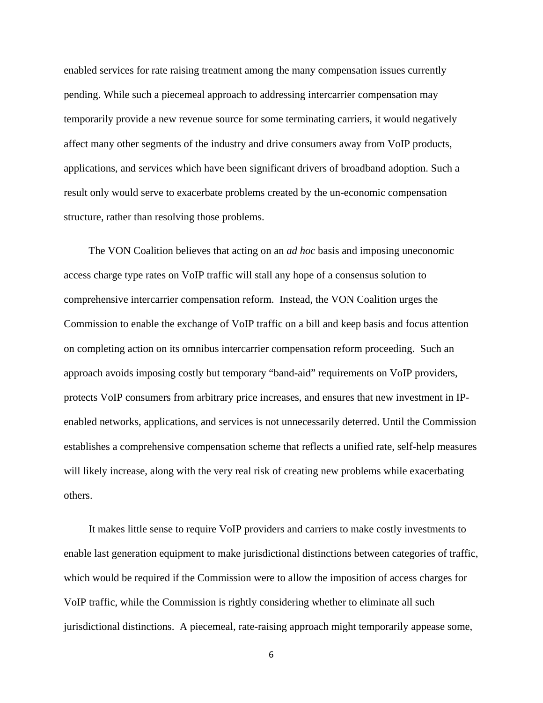enabled services for rate raising treatment among the many compensation issues currently pending. While such a piecemeal approach to addressing intercarrier compensation may temporarily provide a new revenue source for some terminating carriers, it would negatively affect many other segments of the industry and drive consumers away from VoIP products, applications, and services which have been significant drivers of broadband adoption. Such a result only would serve to exacerbate problems created by the un-economic compensation structure, rather than resolving those problems.

 The VON Coalition believes that acting on an *ad hoc* basis and imposing uneconomic access charge type rates on VoIP traffic will stall any hope of a consensus solution to comprehensive intercarrier compensation reform. Instead, the VON Coalition urges the Commission to enable the exchange of VoIP traffic on a bill and keep basis and focus attention on completing action on its omnibus intercarrier compensation reform proceeding. Such an approach avoids imposing costly but temporary "band-aid" requirements on VoIP providers, protects VoIP consumers from arbitrary price increases, and ensures that new investment in IPenabled networks, applications, and services is not unnecessarily deterred. Until the Commission establishes a comprehensive compensation scheme that reflects a unified rate, self-help measures will likely increase, along with the very real risk of creating new problems while exacerbating others.

 It makes little sense to require VoIP providers and carriers to make costly investments to enable last generation equipment to make jurisdictional distinctions between categories of traffic, which would be required if the Commission were to allow the imposition of access charges for VoIP traffic, while the Commission is rightly considering whether to eliminate all such jurisdictional distinctions. A piecemeal, rate-raising approach might temporarily appease some,

 $\sim$  6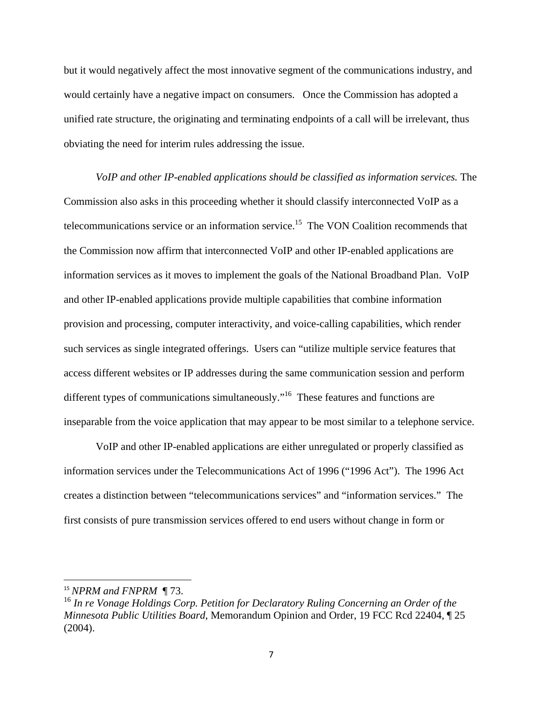but it would negatively affect the most innovative segment of the communications industry, and would certainly have a negative impact on consumers. Once the Commission has adopted a unified rate structure, the originating and terminating endpoints of a call will be irrelevant, thus obviating the need for interim rules addressing the issue.

*VoIP and other IP-enabled applications should be classified as information services.* The Commission also asks in this proceeding whether it should classify interconnected VoIP as a telecommunications service or an information service.<sup>15</sup> The VON Coalition recommends that the Commission now affirm that interconnected VoIP and other IP-enabled applications are information services as it moves to implement the goals of the National Broadband Plan. VoIP and other IP-enabled applications provide multiple capabilities that combine information provision and processing, computer interactivity, and voice-calling capabilities, which render such services as single integrated offerings. Users can "utilize multiple service features that access different websites or IP addresses during the same communication session and perform different types of communications simultaneously."<sup>16</sup> These features and functions are inseparable from the voice application that may appear to be most similar to a telephone service.

 VoIP and other IP-enabled applications are either unregulated or properly classified as information services under the Telecommunications Act of 1996 ("1996 Act"). The 1996 Act creates a distinction between "telecommunications services" and "information services." The first consists of pure transmission services offered to end users without change in form or

<sup>15</sup> *NPRM and FNPRM* ¶ 73.

<sup>16</sup> *In re Vonage Holdings Corp. Petition for Declaratory Ruling Concerning an Order of the Minnesota Public Utilities Board*, Memorandum Opinion and Order, 19 FCC Rcd 22404, ¶ 25  $(2004)$ .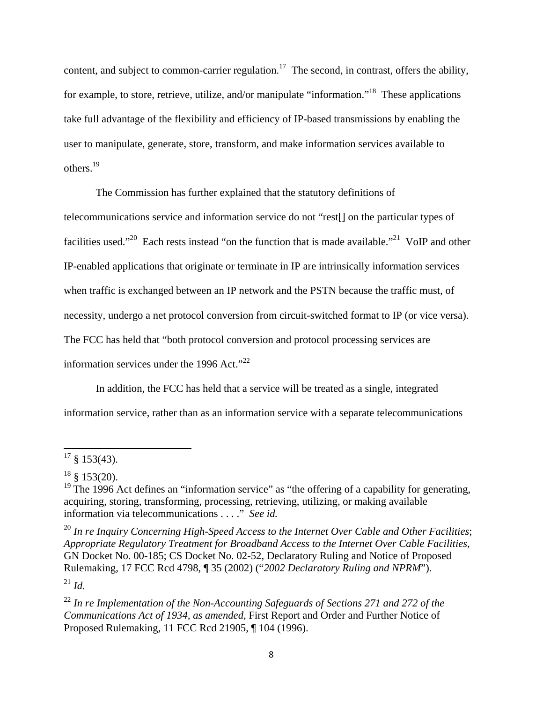content, and subject to common-carrier regulation.<sup>17</sup> The second, in contrast, offers the ability, for example, to store, retrieve, utilize, and/or manipulate "information."<sup>18</sup> These applications take full advantage of the flexibility and efficiency of IP-based transmissions by enabling the user to manipulate, generate, store, transform, and make information services available to others.19

 The Commission has further explained that the statutory definitions of telecommunications service and information service do not "rest[] on the particular types of facilities used."<sup>20</sup> Each rests instead "on the function that is made available."<sup>21</sup> VoIP and other IP-enabled applications that originate or terminate in IP are intrinsically information services when traffic is exchanged between an IP network and the PSTN because the traffic must, of necessity, undergo a net protocol conversion from circuit-switched format to IP (or vice versa). The FCC has held that "both protocol conversion and protocol processing services are information services under the 1996 Act." $^{22}$ 

 In addition, the FCC has held that a service will be treated as a single, integrated information service, rather than as an information service with a separate telecommunications

 $\overline{\phantom{a}}$ 

<sup>20</sup> *In re Inquiry Concerning High-Speed Access to the Internet Over Cable and Other Facilities*; *Appropriate Regulatory Treatment for Broadband Access to the Internet Over Cable Facilities*, GN Docket No. 00-185; CS Docket No. 02-52, Declaratory Ruling and Notice of Proposed Rulemaking, 17 FCC Rcd 4798, ¶ 35 (2002) ("*2002 Declaratory Ruling and NPRM*").

 $^{21}$  *Id.* 

 $17 \S 153(43)$ .

 $18 \& 153(20)$ .

<sup>&</sup>lt;sup>19</sup> The 1996 Act defines an "information service" as "the offering of a capability for generating, acquiring, storing, transforming, processing, retrieving, utilizing, or making available information via telecommunications . . . ." *See id.*

<sup>22</sup> *In re Implementation of the Non-Accounting Safeguards of Sections 271 and 272 of the Communications Act of 1934, as amended*, First Report and Order and Further Notice of Proposed Rulemaking, 11 FCC Rcd 21905, ¶ 104 (1996).